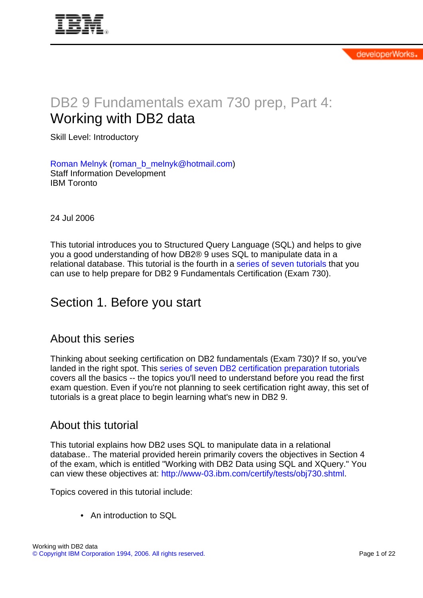# DB2 9 Fundamentals exam 730 prep, Part 4: Working with DB2 data

Skill Level: Introductory

[Roman Melnyk](#page-21-0) [\(roman\\_b\\_melnyk@hotmail.com](mailto:roman_b_melnyk@hotmail.com)) Staff Information Development IBM Toronto

24 Jul 2006

This tutorial introduces you to Structured Query Language (SQL) and helps to give you a good understanding of how DB2® 9 uses SQL to manipulate data in a relational database. This tutorial is the fourth in a [series of seven tutorials](http://www.ibm.com/developerworks/offers/lp/db2cert/db2-cert730.html?S_TACT=105AGX19&S_CMP=db2cert) that you can use to help prepare for DB2 9 Fundamentals Certification (Exam 730).

### Section 1. Before you start

#### About this series

Thinking about seeking certification on DB2 fundamentals (Exam 730)? If so, you've landed in the right spot. This [series of seven DB2 certification preparation tutorials](http://www.ibm.com/developerworks/offers/lp/db2cert/db2-cert730.html?S_TACT=105AGX19&S_CMP=db2cert) covers all the basics -- the topics you'll need to understand before you read the first exam question. Even if you're not planning to seek certification right away, this set of tutorials is a great place to begin learning what's new in DB2 9.

#### About this tutorial

This tutorial explains how DB2 uses SQL to manipulate data in a relational database.. The material provided herein primarily covers the objectives in Section 4 of the exam, which is entitled "Working with DB2 Data using SQL and XQuery." You can view these objectives at: <http://www-03.ibm.com/certify/tests/obj730.shtml>.

Topics covered in this tutorial include:

• An introduction to SQL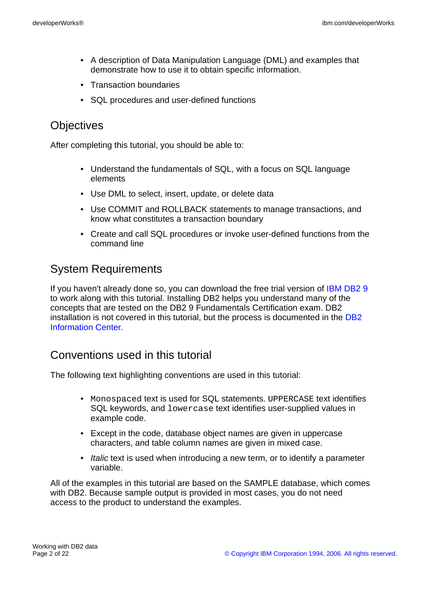- A description of Data Manipulation Language (DML) and examples that demonstrate how to use it to obtain specific information.
- Transaction boundaries
- SQL procedures and user-defined functions

### **Objectives**

After completing this tutorial, you should be able to:

- Understand the fundamentals of SQL, with a focus on SQL language elements
- Use DML to select, insert, update, or delete data
- Use COMMIT and ROLLBACK statements to manage transactions, and know what constitutes a transaction boundary
- Create and call SQL procedures or invoke user-defined functions from the command line

### System Requirements

If you haven't already done so, you can download the free trial version of [IBM DB2 9](http://www.ibm.com/developerworks/downloads/im/udb/?S_TACT=105AGX19&S_CMP=db2cert) to work along with this tutorial. Installing DB2 helps you understand many of the concepts that are tested on the DB2 9 Fundamentals Certification exam. DB2 installation is not covered in this tutorial, but the process is documented in the [DB2](http://publib.boulder.ibm.com/infocenter/db2luw/v9/index.jsp) [Information Center.](http://publib.boulder.ibm.com/infocenter/db2luw/v9/index.jsp)

#### Conventions used in this tutorial

The following text highlighting conventions are used in this tutorial:

- Monospaced text is used for SQL statements. UPPERCASE text identifies SQL keywords, and lowercase text identifies user-supplied values in example code.
- Except in the code, database object names are given in uppercase characters, and table column names are given in mixed case.
- Italic text is used when introducing a new term, or to identify a parameter variable.

All of the examples in this tutorial are based on the SAMPLE database, which comes with DB2. Because sample output is provided in most cases, you do not need access to the product to understand the examples.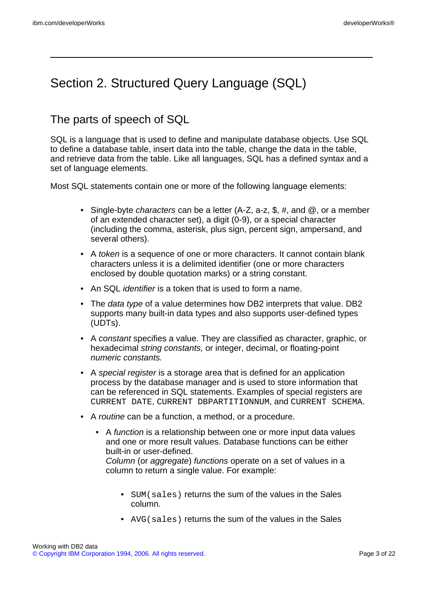### Section 2. Structured Query Language (SQL)

#### <span id="page-2-0"></span>The parts of speech of SQL

SQL is a language that is used to define and manipulate database objects. Use SQL to define a database table, insert data into the table, change the data in the table, and retrieve data from the table. Like all languages, SQL has a defined syntax and a set of language elements.

Most SQL statements contain one or more of the following language elements:

- Single-byte *characters* can be a letter  $(A-Z, a-z, \hat{\theta}, \hat{\theta})$ , or a member of an extended character set), a digit (0-9), or a special character (including the comma, asterisk, plus sign, percent sign, ampersand, and several others).
- A token is a sequence of one or more characters. It cannot contain blank characters unless it is a delimited identifier (one or more characters enclosed by double quotation marks) or a string constant.
- An SQL *identifier* is a token that is used to form a name.
- The data type of a value determines how DB2 interprets that value. DB2 supports many built-in data types and also supports user-defined types (UDTs).
- A constant specifies a value. They are classified as character, graphic, or hexadecimal string constants, or integer, decimal, or floating-point numeric constants.
- A special register is a storage area that is defined for an application process by the database manager and is used to store information that can be referenced in SQL statements. Examples of special registers are CURRENT DATE, CURRENT DBPARTITIONNUM, and CURRENT SCHEMA.
- A routine can be a function, a method, or a procedure.
	- A function is a relationship between one or more input data values and one or more result values. Database functions can be either built-in or user-defined.

Column (or aggregate) functions operate on a set of values in a column to return a single value. For example:

- SUM(sales) returns the sum of the values in the Sales column.
- AVG(sales) returns the sum of the values in the Sales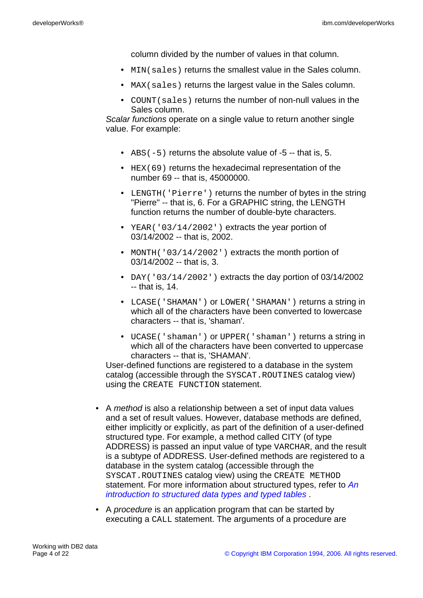column divided by the number of values in that column.

- MIN(sales) returns the smallest value in the Sales column.
- MAX (sales) returns the largest value in the Sales column.
- COUNT(sales) returns the number of non-null values in the Sales column.

Scalar functions operate on a single value to return another single value. For example:

- $\overline{ABS(-5)}$  returns the absolute value of -5 -- that is, 5.
- HEX(69) returns the hexadecimal representation of the number 69 -- that is, 45000000.
- LENGTH('Pierre') returns the number of bytes in the string "Pierre" -- that is, 6. For a GRAPHIC string, the LENGTH function returns the number of double-byte characters.
- YEAR('03/14/2002') extracts the year portion of 03/14/2002 -- that is, 2002.
- MONTH('03/14/2002') extracts the month portion of 03/14/2002 -- that is, 3.
- DAY('03/14/2002') extracts the day portion of 03/14/2002 -- that is, 14.
- LCASE('SHAMAN') or LOWER('SHAMAN') returns a string in which all of the characters have been converted to lowercase characters -- that is, 'shaman'.
- UCASE('shaman') or UPPER('shaman') returns a string in which all of the characters have been converted to uppercase characters -- that is, 'SHAMAN'.

User-defined functions are registered to a database in the system catalog (accessible through the SYSCAT.ROUTINES catalog view) using the CREATE FUNCTION statement.

- A *method* is also a relationship between a set of input data values and a set of result values. However, database methods are defined, either implicitly or explicitly, as part of the definition of a user-defined structured type. For example, a method called CITY (of type ADDRESS) is passed an input value of type VARCHAR, and the result is a subtype of ADDRESS. User-defined methods are registered to a database in the system catalog (accessible through the SYSCAT.ROUTINES catalog view) using the CREATE METHOD statement. For more information about structured types, refer to [An](http://www-128.ibm.com/developerworks/db2/library/techarticle/dm-0506melnyk/index.html) [introduction to structured data types and typed tables](http://www-128.ibm.com/developerworks/db2/library/techarticle/dm-0506melnyk/index.html) .
- A *procedure* is an application program that can be started by executing a CALL statement. The arguments of a procedure are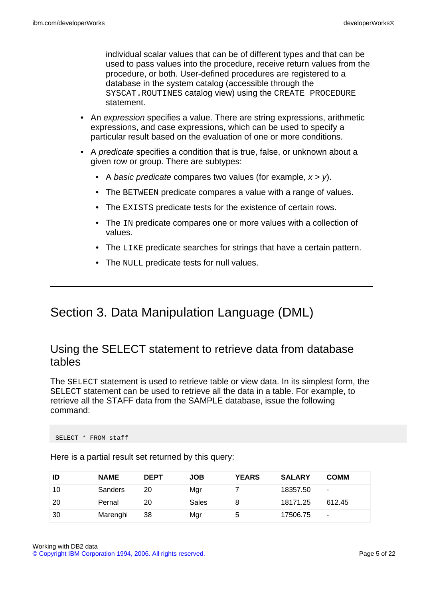individual scalar values that can be of different types and that can be used to pass values into the procedure, receive return values from the procedure, or both. User-defined procedures are registered to a database in the system catalog (accessible through the SYSCAT.ROUTINES catalog view) using the CREATE PROCEDURE statement.

- An expression specifies a value. There are string expressions, arithmetic expressions, and case expressions, which can be used to specify a particular result based on the evaluation of one or more conditions.
- A predicate specifies a condition that is true, false, or unknown about a given row or group. There are subtypes:
	- A basic predicate compares two values (for example,  $x > y$ ).
	- The BETWEEN predicate compares a value with a range of values.
	- The EXISTS predicate tests for the existence of certain rows.
	- The IN predicate compares one or more values with a collection of values.
	- The LIKE predicate searches for strings that have a certain pattern.
	- The NULL predicate tests for null values.

### Section 3. Data Manipulation Language (DML)

#### Using the SELECT statement to retrieve data from database tables

The SELECT statement is used to retrieve table or view data. In its simplest form, the SELECT statement can be used to retrieve all the data in a table. For example, to retrieve all the STAFF data from the SAMPLE database, issue the following command:

SELECT \* FROM staff

| ID  | <b>NAME</b>    | <b>DEPT</b> | <b>JOB</b> | <b>YEARS</b> | <b>SALARY</b> | <b>COMM</b>              |
|-----|----------------|-------------|------------|--------------|---------------|--------------------------|
| 10  | <b>Sanders</b> | 20          | Mgr        |              | 18357.50      | $\sim$                   |
| -20 | Pernal         | 20          | Sales      | 8            | 18171.25      | 612.45                   |
| 30  | Marenghi       | 38          | Mgr        | 5            | 17506.75      | $\overline{\phantom{a}}$ |

Here is a partial result set returned by this query: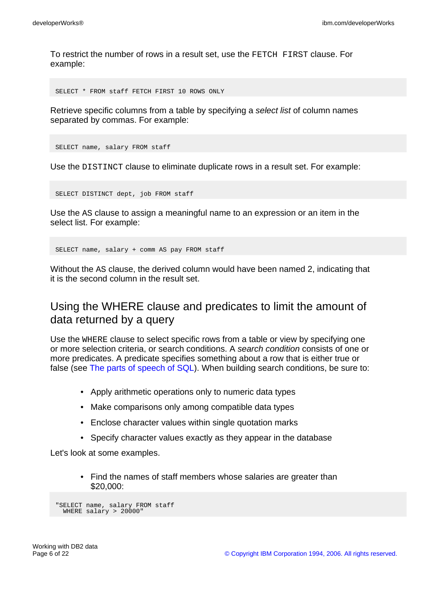To restrict the number of rows in a result set, use the FETCH FIRST clause. For example:

SELECT \* FROM staff FETCH FIRST 10 ROWS ONLY

Retrieve specific columns from a table by specifying a select list of column names separated by commas. For example:

SELECT name, salary FROM staff

Use the DISTINCT clause to eliminate duplicate rows in a result set. For example:

SELECT DISTINCT dept, job FROM staff

Use the AS clause to assign a meaningful name to an expression or an item in the select list. For example:

SELECT name, salary + comm AS pay FROM staff

Without the AS clause, the derived column would have been named 2, indicating that it is the second column in the result set.

#### Using the WHERE clause and predicates to limit the amount of data returned by a query

Use the WHERE clause to select specific rows from a table or view by specifying one or more selection criteria, or search conditions. A search condition consists of one or more predicates. A predicate specifies something about a row that is either true or false (see [The parts of speech of SQL\)](#page-2-0). When building search conditions, be sure to:

- Apply arithmetic operations only to numeric data types
- Make comparisons only among compatible data types
- Enclose character values within single quotation marks
- Specify character values exactly as they appear in the database

Let's look at some examples.

• Find the names of staff members whose salaries are greater than \$20,000:

```
"SELECT name, salary FROM staff
 WHERE salary > 20000"
```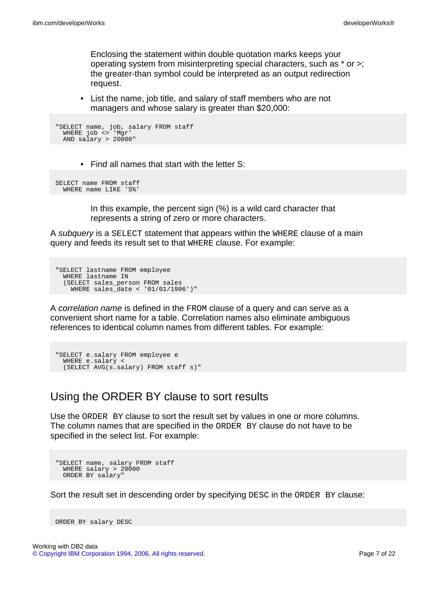Enclosing the statement within double quotation marks keeps your operating system from misinterpreting special characters, such as \* or >; the greater-than symbol could be interpreted as an output redirection request.

• List the name, job title, and salary of staff members who are not managers and whose salary is greater than \$20,000:

```
"SELECT name, job, salary FROM staff
 WHERE job <> 'Mgr'
 AND \text{salary} > 20000"
```
• Find all names that start with the letter S:

```
SELECT name FROM staff
  WHERE name LIKE 'S%'
```
In this example, the percent sign (%) is a wild card character that represents a string of zero or more characters.

A *subquery* is a SELECT statement that appears within the WHERE clause of a main query and feeds its result set to that WHERE clause. For example:

```
"SELECT lastname FROM employee
 WHERE lastname IN
 (SELECT sales_person FROM sales
   WHERE sales_date < '01/01/1996')"
```
A correlation name is defined in the FROM clause of a query and can serve as a convenient short name for a table. Correlation names also eliminate ambiguous references to identical column names from different tables. For example:

```
"SELECT e.salary FROM employee e
 WHERE e.salary <
 (SELECT AVG(s.salary) FROM staff s)"
```
### Using the ORDER BY clause to sort results

Use the ORDER BY clause to sort the result set by values in one or more columns. The column names that are specified in the ORDER BY clause do not have to be specified in the select list. For example:

```
"SELECT name, salary FROM staff
 WHERE salary > 20000
 ORDER BY salary"
```
Sort the result set in descending order by specifying DESC in the ORDER BY clause:

```
ORDER BY salary DESC
```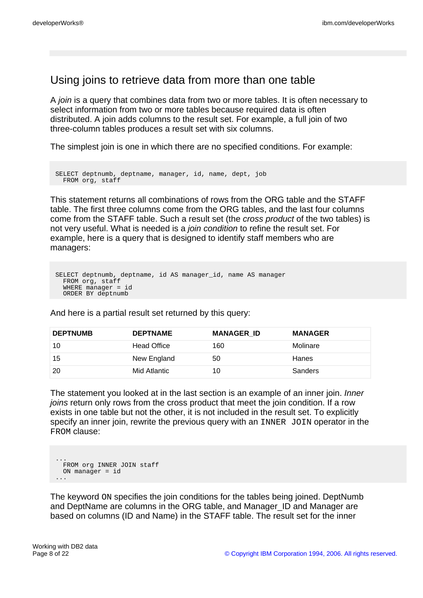#### Using joins to retrieve data from more than one table

A join is a query that combines data from two or more tables. It is often necessary to select information from two or more tables because required data is often distributed. A join adds columns to the result set. For example, a full join of two three-column tables produces a result set with six columns.

The simplest join is one in which there are no specified conditions. For example:

```
SELECT deptnumb, deptname, manager, id, name, dept, job
 FROM org, staff
```
This statement returns all combinations of rows from the ORG table and the STAFF table. The first three columns come from the ORG tables, and the last four columns come from the STAFF table. Such a result set (the cross product of the two tables) is not very useful. What is needed is a join condition to refine the result set. For example, here is a query that is designed to identify staff members who are managers:

```
SELECT deptnumb, deptname, id AS manager_id, name AS manager
 FROM org, staff
  WHERE manager = id
  ORDER BY deptnumb
```
And here is a partial result set returned by this query:

| <b>DEPTNUMB</b> | <b>DEPTNAME</b>    | <b>MANAGER ID</b> | <b>MANAGER</b> |
|-----------------|--------------------|-------------------|----------------|
| 10              | <b>Head Office</b> | 160               | Molinare       |
| 15              | New England        | 50                | Hanes          |
| -20             | Mid Atlantic       | 10                | <b>Sanders</b> |

The statement you looked at in the last section is an example of an inner join. *Inner* joins return only rows from the cross product that meet the join condition. If a row exists in one table but not the other, it is not included in the result set. To explicitly specify an inner join, rewrite the previous query with an INNER JOIN operator in the FROM clause:

```
...
  FROM org INNER JOIN staff
 ON manager = id
...
```
The keyword ON specifies the join conditions for the tables being joined. DeptNumb and DeptName are columns in the ORG table, and Manager\_ID and Manager are based on columns (ID and Name) in the STAFF table. The result set for the inner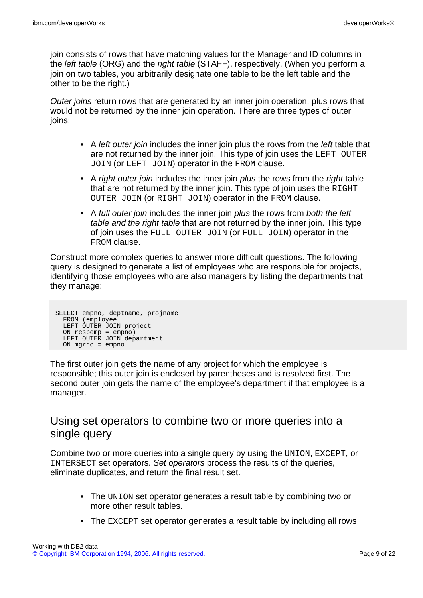join consists of rows that have matching values for the Manager and ID columns in the left table (ORG) and the right table (STAFF), respectively. (When you perform a join on two tables, you arbitrarily designate one table to be the left table and the other to be the right.)

Outer joins return rows that are generated by an inner join operation, plus rows that would not be returned by the inner join operation. There are three types of outer joins:

- A left outer join includes the inner join plus the rows from the left table that are not returned by the inner join. This type of join uses the LEFT OUTER JOIN (or LEFT JOIN) operator in the FROM clause.
- A right outer join includes the inner join plus the rows from the right table that are not returned by the inner join. This type of join uses the RIGHT OUTER JOIN (or RIGHT JOIN) operator in the FROM clause.
- A full outer join includes the inner join plus the rows from both the left table and the right table that are not returned by the inner join. This type of join uses the FULL OUTER JOIN (or FULL JOIN) operator in the FROM clause.

Construct more complex queries to answer more difficult questions. The following query is designed to generate a list of employees who are responsible for projects, identifying those employees who are also managers by listing the departments that they manage:

```
SELECT empno, deptname, projname
 FROM (employee
 LEFT OUTER JOIN project
  ON respemp = empno)
  LEFT OUTER JOIN department
 ON mgrno = empno
```
The first outer join gets the name of any project for which the employee is responsible; this outer join is enclosed by parentheses and is resolved first. The second outer join gets the name of the employee's department if that employee is a manager.

#### Using set operators to combine two or more queries into a single query

Combine two or more queries into a single query by using the UNION, EXCEPT, or INTERSECT set operators. Set operators process the results of the queries, eliminate duplicates, and return the final result set.

- The UNION set operator generates a result table by combining two or more other result tables.
- The EXCEPT set operator generates a result table by including all rows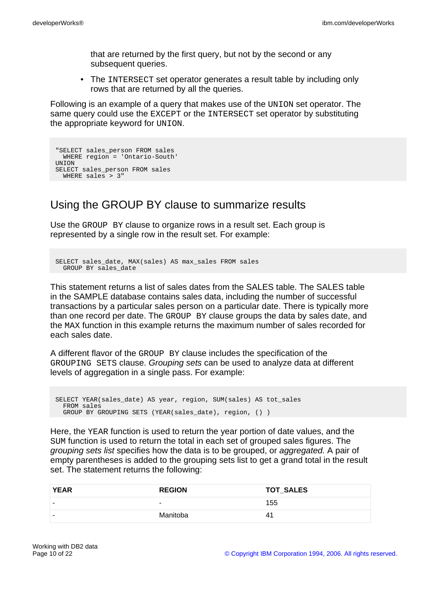that are returned by the first query, but not by the second or any subsequent queries.

• The INTERSECT set operator generates a result table by including only rows that are returned by all the queries.

Following is an example of a query that makes use of the UNION set operator. The same query could use the EXCEPT or the INTERSECT set operator by substituting the appropriate keyword for UNION.

```
"SELECT sales_person FROM sales
 WHERE region = 'Ontario-South'
UNION
SELECT sales person FROM sales
 WHERE sales > 3"
```
### Using the GROUP BY clause to summarize results

Use the GROUP BY clause to organize rows in a result set. Each group is represented by a single row in the result set. For example:

```
SELECT sales date, MAX(sales) AS max sales FROM sales
 GROUP BY sales_date
```
This statement returns a list of sales dates from the SALES table. The SALES table in the SAMPLE database contains sales data, including the number of successful transactions by a particular sales person on a particular date. There is typically more than one record per date. The GROUP BY clause groups the data by sales date, and the MAX function in this example returns the maximum number of sales recorded for each sales date.

A different flavor of the GROUP BY clause includes the specification of the GROUPING SETS clause. Grouping sets can be used to analyze data at different levels of aggregation in a single pass. For example:

SELECT YEAR(sales\_date) AS year, region, SUM(sales) AS tot\_sales FROM sales GROUP BY GROUPING SETS (YEAR(sales\_date), region, () )

Here, the YEAR function is used to return the year portion of date values, and the SUM function is used to return the total in each set of grouped sales figures. The grouping sets list specifies how the data is to be grouped, or aggregated. A pair of empty parentheses is added to the grouping sets list to get a grand total in the result set. The statement returns the following:

| <b>YEAR</b> | <b>REGION</b> | <b>TOT_SALES</b> |
|-------------|---------------|------------------|
|             | $\sim$        | 155              |
|             | Manitoba      | 41               |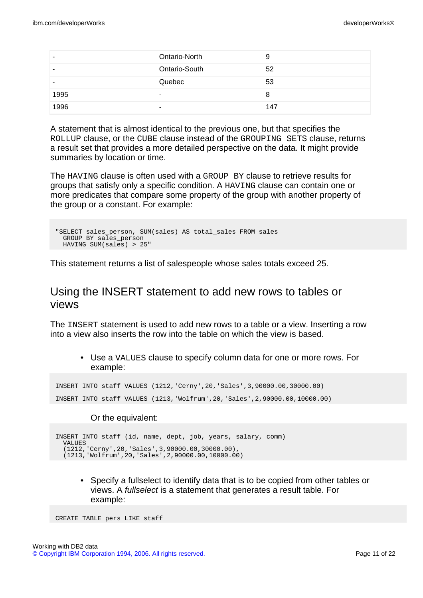|      | Ontario-North | 9   |
|------|---------------|-----|
| -    | Ontario-South | 52  |
| -    | Quebec        | 53  |
| 1995 | ۰             | 8   |
| 1996 |               | 147 |

A statement that is almost identical to the previous one, but that specifies the ROLLUP clause, or the CUBE clause instead of the GROUPING SETS clause, returns a result set that provides a more detailed perspective on the data. It might provide summaries by location or time.

The HAVING clause is often used with a GROUP BY clause to retrieve results for groups that satisfy only a specific condition. A HAVING clause can contain one or more predicates that compare some property of the group with another property of the group or a constant. For example:

```
"SELECT sales_person, SUM(sales) AS total_sales FROM sales
 GROUP BY sales_person
 HAVING SUM(sales) > 25"
```
This statement returns a list of salespeople whose sales totals exceed 25.

#### Using the INSERT statement to add new rows to tables or views

The INSERT statement is used to add new rows to a table or a view. Inserting a row into a view also inserts the row into the table on which the view is based.

• Use a VALUES clause to specify column data for one or more rows. For example:

INSERT INTO staff VALUES (1212,'Cerny',20,'Sales',3,90000.00,30000.00) INSERT INTO staff VALUES (1213,'Wolfrum',20,'Sales',2,90000.00,10000.00)

#### Or the equivalent:

```
INSERT INTO staff (id, name, dept, job, years, salary, comm)
 VALUES
  (1212,'Cerny',20,'Sales',3,90000.00,30000.00),
  (1213,'Wolfrum',20,'Sales',2,90000.00,10000.00)
```
• Specify a fullselect to identify data that is to be copied from other tables or views. A fullselect is a statement that generates a result table. For example:

CREATE TABLE pers LIKE staff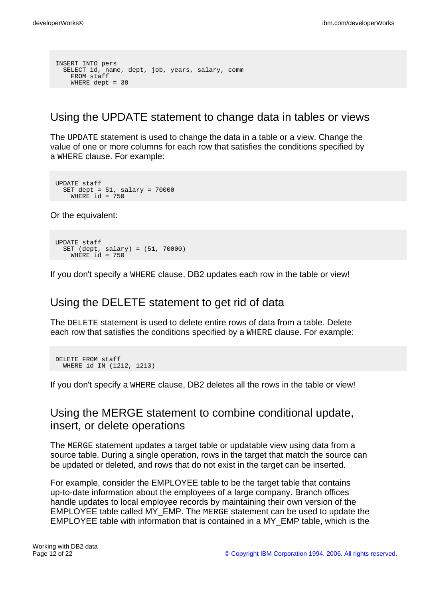```
INSERT INTO pers
SELECT id, name, dept, job, years, salary, comm
   FROM staff
   WHERE dept = 38
```
#### Using the UPDATE statement to change data in tables or views

The UPDATE statement is used to change the data in a table or a view. Change the value of one or more columns for each row that satisfies the conditions specified by a WHERE clause. For example:

```
UPDATE staff
  SET dept = 51, salary = 70000
    WHERE id = 750
```
Or the equivalent:

```
UPDATE staff
 SET (dept, salary) = (51, 70000)
  WHERE id = 750
```
If you don't specify a WHERE clause, DB2 updates each row in the table or view!

#### Using the DELETE statement to get rid of data

The DELETE statement is used to delete entire rows of data from a table. Delete each row that satisfies the conditions specified by a WHERE clause. For example:

```
DELETE FROM staff
 WHERE id IN (1212, 1213)
```
If you don't specify a WHERE clause, DB2 deletes all the rows in the table or view!

#### Using the MERGE statement to combine conditional update, insert, or delete operations

The MERGE statement updates a target table or updatable view using data from a source table. During a single operation, rows in the target that match the source can be updated or deleted, and rows that do not exist in the target can be inserted.

For example, consider the EMPLOYEE table to be the target table that contains up-to-date information about the employees of a large company. Branch offices handle updates to local employee records by maintaining their own version of the EMPLOYEE table called MY\_EMP. The MERGE statement can be used to update the EMPLOYEE table with information that is contained in a MY\_EMP table, which is the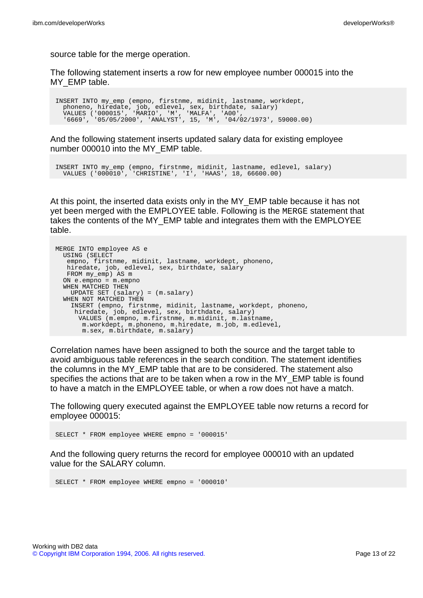source table for the merge operation.

The following statement inserts a row for new employee number 000015 into the MY EMP table.

INSERT INTO my\_emp (empno, firstnme, midinit, lastname, workdept, phoneno, hiredate, job, edlevel, sex, birthdate, salary) VALUES ('000015', 'MARIO', 'M', 'MALFA', 'A00', '6669', '05/05/2000', 'ANALYST', 15, 'M', '04/02/1973', 59000.00)

And the following statement inserts updated salary data for existing employee number 000010 into the MY\_EMP table.

INSERT INTO my\_emp (empno, firstnme, midinit, lastname, edlevel, salary) VALUES ('000010', 'CHRISTINE', 'I', 'HAAS', 18, 66600.00)

At this point, the inserted data exists only in the MY\_EMP table because it has not yet been merged with the EMPLOYEE table. Following is the MERGE statement that takes the contents of the MY\_EMP table and integrates them with the EMPLOYEE table.

```
MERGE INTO employee AS e
 USING (SELECT
   empno, firstnme, midinit, lastname, workdept, phoneno,
   hiredate, job, edlevel, sex, birthdate, salary
   FROM my_emp) AS m
 ON e.empno = m.empno
  WHEN MATCHED THEN
   UPDATE SET (salary) = (m.salary)
 WHEN NOT MATCHED THEN
    INSERT (empno, firstnme, midinit, lastname, workdept, phoneno,
     hiredate, job, edlevel, sex, birthdate, salary)
      VALUES (m.empno, m.firstnme, m.midinit, m.lastname,
       m.workdept, m.phoneno, m.hiredate, m.job, m.edlevel,
       m.sex, m.birthdate, m.salary)
```
Correlation names have been assigned to both the source and the target table to avoid ambiguous table references in the search condition. The statement identifies the columns in the MY\_EMP table that are to be considered. The statement also specifies the actions that are to be taken when a row in the MY\_EMP table is found to have a match in the EMPLOYEE table, or when a row does not have a match.

The following query executed against the EMPLOYEE table now returns a record for employee 000015:

SELECT \* FROM employee WHERE empno = '000015'

And the following query returns the record for employee 000010 with an updated value for the SALARY column.

SELECT \* FROM employee WHERE empno = '000010'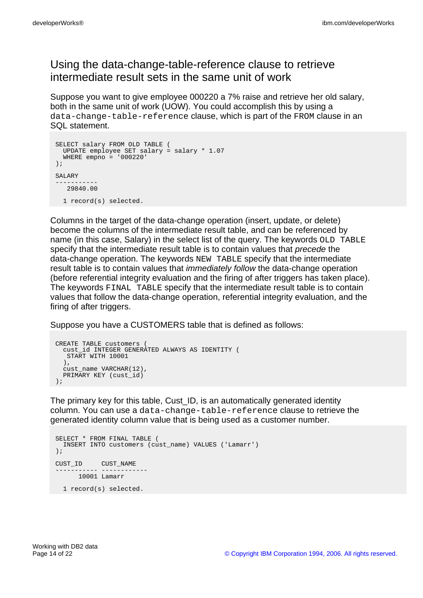### Using the data-change-table-reference clause to retrieve intermediate result sets in the same unit of work

Suppose you want to give employee 000220 a 7% raise and retrieve her old salary, both in the same unit of work (UOW). You could accomplish this by using a data-change-table-reference clause, which is part of the FROM clause in an SQL statement.

```
SELECT salary FROM OLD TABLE (
 UPDATE employee SET salary = salary * 1.07
 WHERE empno = '000220'
);
SALARY
-----------
   29840.00
 1 record(s) selected.
```
Columns in the target of the data-change operation (insert, update, or delete) become the columns of the intermediate result table, and can be referenced by name (in this case, Salary) in the select list of the query. The keywords OLD TABLE specify that the intermediate result table is to contain values that *precede* the data-change operation. The keywords NEW TABLE specify that the intermediate result table is to contain values that immediately follow the data-change operation (before referential integrity evaluation and the firing of after triggers has taken place). The keywords FINAL TABLE specify that the intermediate result table is to contain values that follow the data-change operation, referential integrity evaluation, and the firing of after triggers.

Suppose you have a CUSTOMERS table that is defined as follows:

```
CREATE TABLE customers (
 cust_id INTEGER GENERATED ALWAYS AS IDENTITY (
   START WITH 10001
  ),
  cust_name VARCHAR(12),
 PRIMARY KEY (cust_id)
);
```
The primary key for this table, Cust ID, is an automatically generated identity column. You can use a data-change-table-reference clause to retrieve the generated identity column value that is being used as a customer number.

```
SELECT * FROM FINAL TABLE (
 INSERT INTO customers (cust_name) VALUES ('Lamarr')
\lambda:
CUST_ID CUST_NAME
----------- ------------
    10001 Lamarr
1 record(s) selected.
```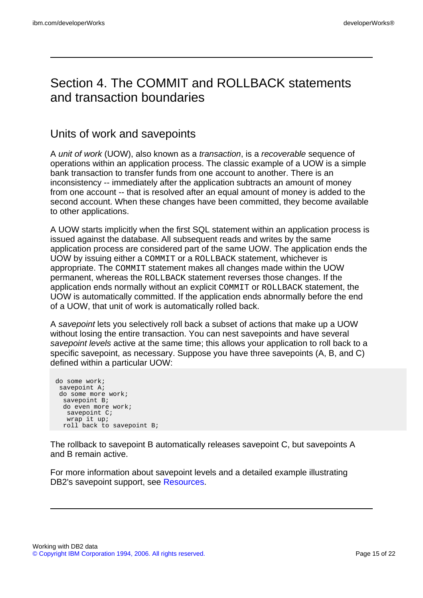### Section 4. The COMMIT and ROLLBACK statements and transaction boundaries

#### Units of work and savepoints

A unit of work (UOW), also known as a transaction, is a recoverable sequence of operations within an application process. The classic example of a UOW is a simple bank transaction to transfer funds from one account to another. There is an inconsistency -- immediately after the application subtracts an amount of money from one account -- that is resolved after an equal amount of money is added to the second account. When these changes have been committed, they become available to other applications.

A UOW starts implicitly when the first SQL statement within an application process is issued against the database. All subsequent reads and writes by the same application process are considered part of the same UOW. The application ends the UOW by issuing either a COMMIT or a ROLLBACK statement, whichever is appropriate. The COMMIT statement makes all changes made within the UOW permanent, whereas the ROLLBACK statement reverses those changes. If the application ends normally without an explicit COMMIT or ROLLBACK statement, the UOW is automatically committed. If the application ends abnormally before the end of a UOW, that unit of work is automatically rolled back.

A savepoint lets you selectively roll back a subset of actions that make up a UOW without losing the entire transaction. You can nest savepoints and have several savepoint levels active at the same time; this allows your application to roll back to a specific savepoint, as necessary. Suppose you have three savepoints (A, B, and C) defined within a particular UOW:

```
do some work;
savepoint A;
do some more work;
 savepoint B;
 do even more work;
  savepoint C;
  wrap it up;
 roll back to savepoint B;
```
The rollback to savepoint B automatically releases savepoint C, but savepoints A and B remain active.

For more information about savepoint levels and a detailed example illustrating DB2's savepoint support, see [Resources](#page-21-1).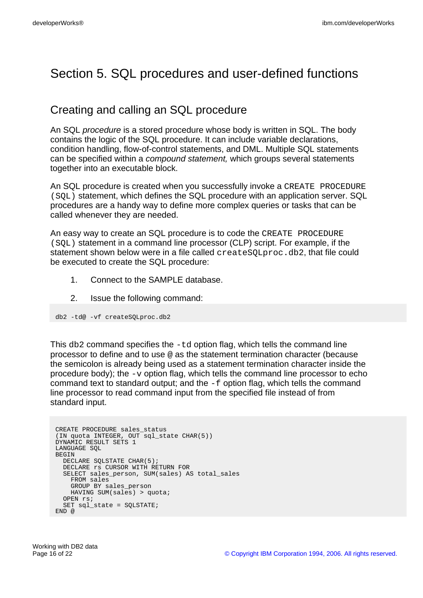# Section 5. SQL procedures and user-defined functions

### Creating and calling an SQL procedure

An SQL *procedure* is a stored procedure whose body is written in SQL. The body contains the logic of the SQL procedure. It can include variable declarations, condition handling, flow-of-control statements, and DML. Multiple SQL statements can be specified within a compound statement, which groups several statements together into an executable block.

An SQL procedure is created when you successfully invoke a CREATE PROCEDURE (SQL) statement, which defines the SQL procedure with an application server. SQL procedures are a handy way to define more complex queries or tasks that can be called whenever they are needed.

An easy way to create an SQL procedure is to code the CREATE PROCEDURE (SQL) statement in a command line processor (CLP) script. For example, if the statement shown below were in a file called createSQLproc.db2, that file could be executed to create the SQL procedure:

- 1. Connect to the SAMPLE database.
- 2. Issue the following command:

db2 -td@ -vf createSQLproc.db2

This db2 command specifies the -td option flag, which tells the command line processor to define and to use @ as the statement termination character (because the semicolon is already being used as a statement termination character inside the procedure body); the  $-v$  option flag, which tells the command line processor to echo command text to standard output; and the  $-f$  option flag, which tells the command line processor to read command input from the specified file instead of from standard input.

```
CREATE PROCEDURE sales_status
(IN quota INTEGER, OUT sql_state CHAR(5))
DYNAMIC RESULT SETS 1
LANGUAGE SQL
BEGIN
 DECLARE SQLSTATE CHAR(5);
 DECLARE rs CURSOR WITH RETURN FOR
  SELECT sales_person, SUM(sales) AS total_sales
   FROM sales
    GROUP BY sales_person
   HAVING SUM(sales) > quota;
 OPEN rs;
 SET sql_state = SQLSTATE;
END @
```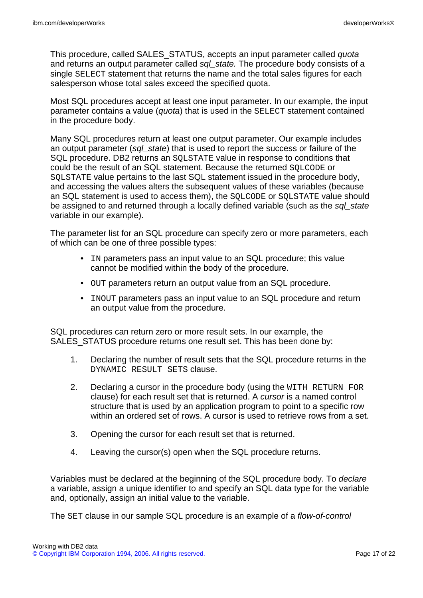This procedure, called SALES\_STATUS, accepts an input parameter called *quota* and returns an output parameter called sql\_state. The procedure body consists of a single SELECT statement that returns the name and the total sales figures for each salesperson whose total sales exceed the specified quota.

Most SQL procedures accept at least one input parameter. In our example, the input parameter contains a value (quota) that is used in the SELECT statement contained in the procedure body.

Many SQL procedures return at least one output parameter. Our example includes an output parameter (sql\_state) that is used to report the success or failure of the SQL procedure. DB2 returns an SQLSTATE value in response to conditions that could be the result of an SQL statement. Because the returned SQLCODE or SQLSTATE value pertains to the last SQL statement issued in the procedure body, and accessing the values alters the subsequent values of these variables (because an SQL statement is used to access them), the SQLCODE or SQLSTATE value should be assigned to and returned through a locally defined variable (such as the sql state variable in our example).

The parameter list for an SQL procedure can specify zero or more parameters, each of which can be one of three possible types:

- IN parameters pass an input value to an SQL procedure; this value cannot be modified within the body of the procedure.
- OUT parameters return an output value from an SQL procedure.
- INOUT parameters pass an input value to an SQL procedure and return an output value from the procedure.

SQL procedures can return zero or more result sets. In our example, the SALES STATUS procedure returns one result set. This has been done by:

- 1. Declaring the number of result sets that the SQL procedure returns in the DYNAMIC RESULT SETS clause.
- 2. Declaring a cursor in the procedure body (using the WITH RETURN FOR clause) for each result set that is returned. A cursor is a named control structure that is used by an application program to point to a specific row within an ordered set of rows. A cursor is used to retrieve rows from a set.
- 3. Opening the cursor for each result set that is returned.
- 4. Leaving the cursor(s) open when the SQL procedure returns.

Variables must be declared at the beginning of the SQL procedure body. To declare a variable, assign a unique identifier to and specify an SQL data type for the variable and, optionally, assign an initial value to the variable.

The SET clause in our sample SQL procedure is an example of a flow-of-control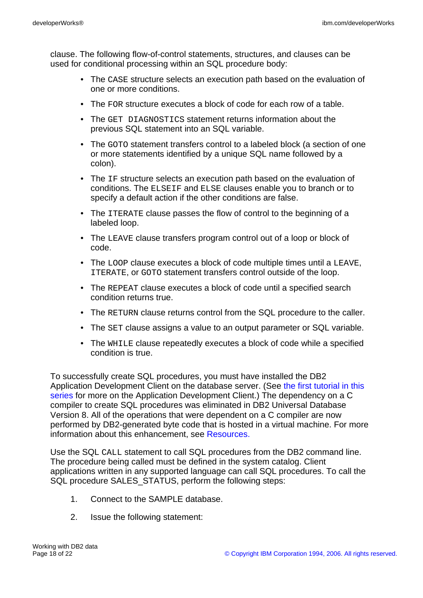clause. The following flow-of-control statements, structures, and clauses can be used for conditional processing within an SQL procedure body:

- The CASE structure selects an execution path based on the evaluation of one or more conditions.
- The FOR structure executes a block of code for each row of a table.
- The GET DIAGNOSTICS statement returns information about the previous SQL statement into an SQL variable.
- The GOTO statement transfers control to a labeled block (a section of one or more statements identified by a unique SQL name followed by a colon).
- The IF structure selects an execution path based on the evaluation of conditions. The ELSEIF and ELSE clauses enable you to branch or to specify a default action if the other conditions are false.
- The ITERATE clause passes the flow of control to the beginning of a labeled loop.
- The LEAVE clause transfers program control out of a loop or block of code.
- The LOOP clause executes a block of code multiple times until a LEAVE, ITERATE, or GOTO statement transfers control outside of the loop.
- The REPEAT clause executes a block of code until a specified search condition returns true.
- The RETURN clause returns control from the SQL procedure to the caller.
- The SET clause assigns a value to an output parameter or SQL variable.
- The WHILE clause repeatedly executes a block of code while a specified condition is true.

To successfully create SQL procedures, you must have installed the DB2 Application Development Client on the database server. (See [the first tutorial in this](http://www.ibm.com/developerworks/edu/dm-dw-db2-cert7301.html?S_TACT=105AGX19&S_CMP=db2cert) [series](http://www.ibm.com/developerworks/edu/dm-dw-db2-cert7301.html?S_TACT=105AGX19&S_CMP=db2cert) for more on the Application Development Client.) The dependency on a C compiler to create SQL procedures was eliminated in DB2 Universal Database Version 8. All of the operations that were dependent on a C compiler are now performed by DB2-generated byte code that is hosted in a virtual machine. For more information about this enhancement, see [Resources.](#page-21-1)

Use the SQL CALL statement to call SQL procedures from the DB2 command line. The procedure being called must be defined in the system catalog. Client applications written in any supported language can call SQL procedures. To call the SQL procedure SALES\_STATUS, perform the following steps:

- 1. Connect to the SAMPLE database.
- 2. Issue the following statement: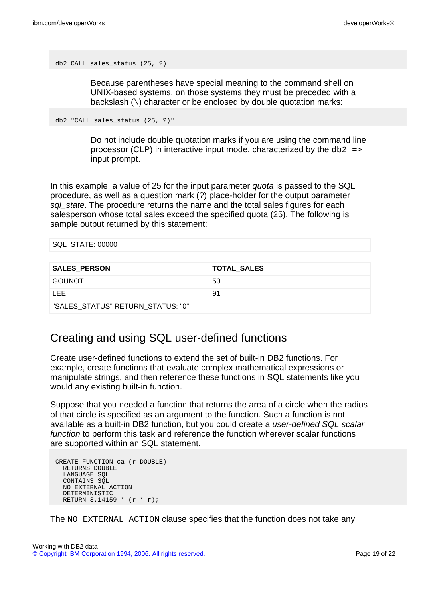```
db2 CALL sales_status (25, ?)
```
Because parentheses have special meaning to the command shell on UNIX-based systems, on those systems they must be preceded with a backslash (\) character or be enclosed by double quotation marks:

db2 "CALL sales\_status (25, ?)"

Do not include double quotation marks if you are using the command line processor (CLP) in interactive input mode, characterized by the  $db2$  => input prompt.

In this example, a value of 25 for the input parameter *quota* is passed to the SQL procedure, as well as a question mark (?) place-holder for the output parameter sal state. The procedure returns the name and the total sales figures for each salesperson whose total sales exceed the specified quota (25). The following is sample output returned by this statement:

| SQL_STATE: 00000    |                    |
|---------------------|--------------------|
|                     |                    |
| <b>SALES PERSON</b> | <b>TOTAL_SALES</b> |
| <b>GOUNOT</b>       | 50                 |
| I FF                | 91                 |

"SALES\_STATUS" RETURN\_STATUS: "0"

#### Creating and using SQL user-defined functions

Create user-defined functions to extend the set of built-in DB2 functions. For example, create functions that evaluate complex mathematical expressions or manipulate strings, and then reference these functions in SQL statements like you would any existing built-in function.

Suppose that you needed a function that returns the area of a circle when the radius of that circle is specified as an argument to the function. Such a function is not available as a built-in DB2 function, but you could create a user-defined SQL scalar function to perform this task and reference the function wherever scalar functions are supported within an SQL statement.

```
CREATE FUNCTION ca (r DOUBLE)
 RETURNS DOUBLE
  LANGUAGE SOL
  CONTAINS SOL
 NO EXTERNAL ACTION
  DETERMINISTIC
 RETURN 3.14159 * (r * r);
```
The NO EXTERNAL ACTION clause specifies that the function does not take any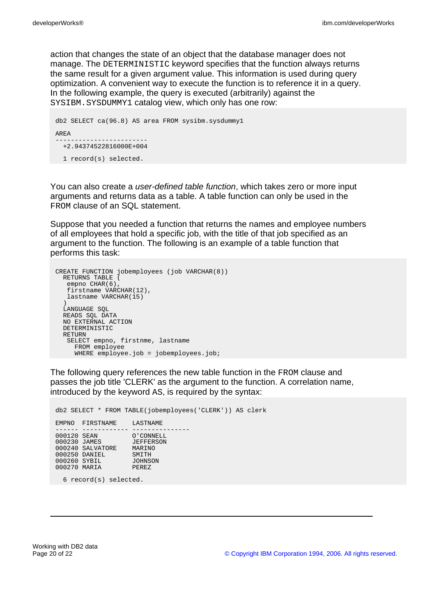action that changes the state of an object that the database manager does not manage. The DETERMINISTIC keyword specifies that the function always returns the same result for a given argument value. This information is used during query optimization. A convenient way to execute the function is to reference it in a query. In the following example, the query is executed (arbitrarily) against the SYSIBM.SYSDUMMY1 catalog view, which only has one row:

```
db2 SELECT ca(96.8) AS area FROM sysibm.sysdummy1
AREA
------------------------
 +2.94374522816000E+004
 1 record(s) selected.
```
You can also create a user-defined table function, which takes zero or more input arguments and returns data as a table. A table function can only be used in the FROM clause of an SQL statement.

Suppose that you needed a function that returns the names and employee numbers of all employees that hold a specific job, with the title of that job specified as an argument to the function. The following is an example of a table function that performs this task:

```
CREATE FUNCTION jobemployees (job VARCHAR(8))
  RETURNS TABLE (
  empno CHAR(6)
  firstname VARCHAR(12),
  lastname VARCHAR(15)
  )
  LANGUAGE SQL
 READS SQL DATA
 NO EXTERNAL ACTION
 DETERMINISTIC
 RETURN
 SELECT empno, firstnme, lastname
    FROM employee
    WHERE employee.job = jobemployees.job;
```
The following query references the new table function in the FROM clause and passes the job title 'CLERK' as the argument to the function. A correlation name, introduced by the keyword AS, is required by the syntax:

```
db2 SELECT * FROM TABLE(jobemployees('CLERK')) AS clerk
EMPNO FIRSTNAME LASTNAME
------ ----------- ---------------
000120 SEAN O'CONNELL
000230 JAMES JEFFERSON
UUUZ30 JAMES JEFFERSON<br>000240 SALVATORE MARINO<br>000250 DANIFI
000250 DANIEL SMITH
000260 SYBIL JOHNSON
000270 MARIA PEREZ
```
6 record(s) selected.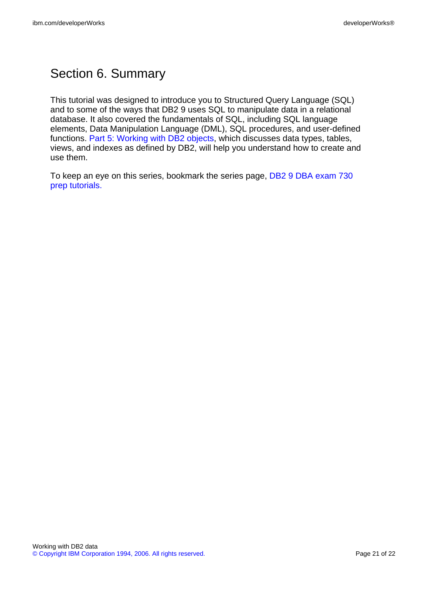# Section 6. Summary

This tutorial was designed to introduce you to Structured Query Language (SQL) and to some of the ways that DB2 9 uses SQL to manipulate data in a relational database. It also covered the fundamentals of SQL, including SQL language elements, Data Manipulation Language (DML), SQL procedures, and user-defined functions. [Part 5: Working with DB2 objects,](http://www.ibm.com/developerworks/offers/lp/db2cert/db2-cert730.html?S_TACT=105AGX19&S_CMP=db2cert) which discusses data types, tables, views, and indexes as defined by DB2, will help you understand how to create and use them.

To keep an eye on this series, bookmark the series page, [DB2 9 DBA exam 730](http://www.ibm.com/developerworks/offers/lp/db2cert/db2-cert730.html?S_TACT=105AGX19&S_CMP=db2certt) [prep tutorials.](http://www.ibm.com/developerworks/offers/lp/db2cert/db2-cert730.html?S_TACT=105AGX19&S_CMP=db2certt)